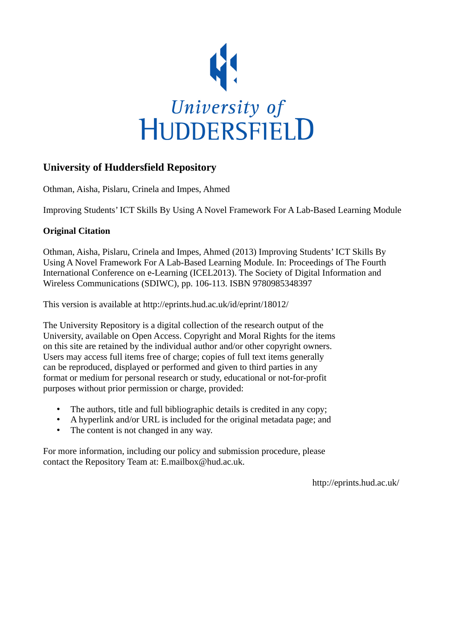

# **University of Huddersfield Repository**

Othman, Aisha, Pislaru, Crinela and Impes, Ahmed

Improving Students' ICT Skills By Using A Novel Framework For A Lab-Based Learning Module

### **Original Citation**

Othman, Aisha, Pislaru, Crinela and Impes, Ahmed (2013) Improving Students' ICT Skills By Using A Novel Framework For A Lab-Based Learning Module. In: Proceedings of The Fourth International Conference on e-Learning (ICEL2013). The Society of Digital Information and Wireless Communications (SDIWC), pp. 106-113. ISBN 9780985348397

This version is available at http://eprints.hud.ac.uk/id/eprint/18012/

The University Repository is a digital collection of the research output of the University, available on Open Access. Copyright and Moral Rights for the items on this site are retained by the individual author and/or other copyright owners. Users may access full items free of charge; copies of full text items generally can be reproduced, displayed or performed and given to third parties in any format or medium for personal research or study, educational or not-for-profit purposes without prior permission or charge, provided:

- The authors, title and full bibliographic details is credited in any copy;
- A hyperlink and/or URL is included for the original metadata page; and
- The content is not changed in any way.

For more information, including our policy and submission procedure, please contact the Repository Team at: E.mailbox@hud.ac.uk.

http://eprints.hud.ac.uk/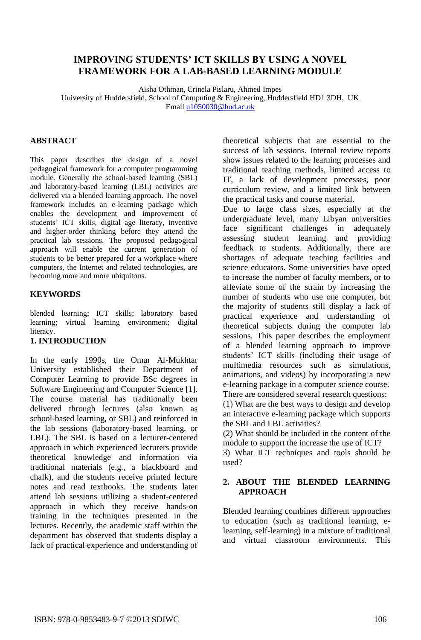## **IMPROVING STUDENTS' ICT SKILLS BY USING A NOVEL FRAMEWORK FOR A LAB-BASED LEARNING MODULE**

Aisha Othman, Crinela Pislaru, Ahmed Impes University of Huddersfield, School of Computing & Engineering, Huddersfield HD1 3DH, UK Email [u1050030@hud.ac.uk](mailto:u1050030@hud.ac.uk)

### **ABSTRACT**

This paper describes the design of a novel pedagogical framework for a computer programming module. Generally the school-based learning (SBL) and laboratory-based learning (LBL) activities are delivered via a blended learning approach. The novel framework includes an e-learning package which enables the development and improvement of students' ICT skills, digital age literacy, inventive and higher-order thinking before they attend the practical lab sessions. The proposed pedagogical approach will enable the current generation of students to be better prepared for a workplace where computers, the Internet and related technologies, are becoming more and more ubiquitous.

#### **KEYWORDS**

blended learning; ICT skills; laboratory based learning; virtual learning environment; digital literacy.

### **1. INTRODUCTION**

In the early 1990s, the Omar Al-Mukhtar University established their Department of Computer Learning to provide BSc degrees in Software Engineering and Computer Science [1]. The course material has traditionally been delivered through lectures (also known as school-based learning, or SBL) and reinforced in the lab sessions (laboratory-based learning, or LBL). The SBL is based on a lecturer-centered approach in which experienced lecturers provide theoretical knowledge and information via traditional materials (e.g., a blackboard and chalk), and the students receive printed lecture notes and read textbooks. The students later attend lab sessions utilizing a student-centered approach in which they receive hands-on training in the techniques presented in the lectures. Recently, the academic staff within the department has observed that students display a lack of practical experience and understanding of

theoretical subjects that are essential to the success of lab sessions. Internal review reports show issues related to the learning processes and traditional teaching methods, limited access to IT, a lack of development processes, poor curriculum review, and a limited link between the practical tasks and course material.

Due to large class sizes, especially at the undergraduate level, many Libyan universities face significant challenges in adequately assessing student learning and providing feedback to students. Additionally, there are shortages of adequate teaching facilities and science educators. Some universities have opted to increase the number of faculty members, or to alleviate some of the strain by increasing the number of students who use one computer, but the majority of students still display a lack of practical experience and understanding of theoretical subjects during the computer lab sessions. This paper describes the employment of a blended learning approach to improve students' ICT skills (including their usage of multimedia resources such as simulations, animations, and videos) by incorporating a new e-learning package in a computer science course. There are considered several research questions:

(1) What are the best ways to design and develop an interactive e-learning package which supports the SBL and LBL activities?

(2) What should be included in the content of the module to support the increase the use of ICT?

3) What ICT techniques and tools should be used?

### **2. ABOUT THE BLENDED LEARNING APPROACH**

Blended learning combines different approaches to education (such as traditional learning, elearning, self-learning) in a mixture of traditional and virtual classroom environments. This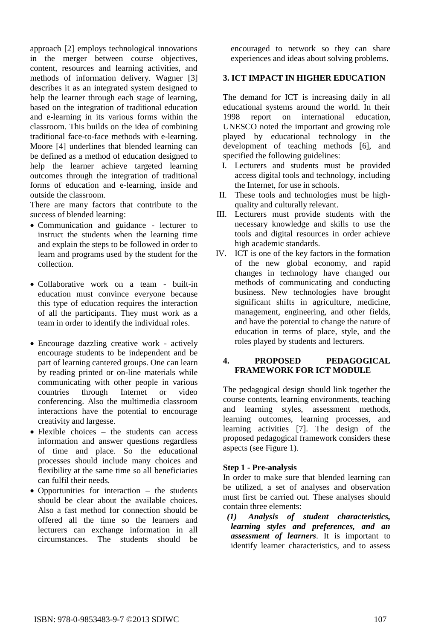approach [2] employs technological innovations in the merger between course objectives, content, resources and learning activities, and methods of information delivery. Wagner [3] describes it as an integrated system designed to help the learner through each stage of learning, based on the integration of traditional education and e-learning in its various forms within the classroom. This builds on the idea of combining traditional face-to-face methods with e-learning. Moore [4] underlines that blended learning can be defined as a method of education designed to help the learner achieve targeted learning outcomes through the integration of traditional forms of education and e-learning, inside and outside the classroom.

There are many factors that contribute to the success of blended learning:

- Communication and guidance lecturer to instruct the students when the learning time and explain the steps to be followed in order to learn and programs used by the student for the collection.
- Collaborative work on a team built-in education must convince everyone because this type of education requires the interaction of all the participants. They must work as a team in order to identify the individual roles.
- Encourage dazzling creative work actively encourage students to be independent and be part of learning cantered groups. One can learn by reading printed or on-line materials while communicating with other people in various countries through Internet or video conferencing. Also the multimedia classroom interactions have the potential to encourage creativity and largesse.
- Flexible choices the students can access information and answer questions regardless of time and place. So the educational processes should include many choices and flexibility at the same time so all beneficiaries can fulfil their needs.
- Opportunities for interaction  $-$  the students should be clear about the available choices. Also a fast method for connection should be offered all the time so the learners and lecturers can exchange information in all circumstances. The students should be

encouraged to network so they can share experiences and ideas about solving problems.

# **3. ICT IMPACT IN HIGHER EDUCATION**

The demand for ICT is increasing daily in all educational systems around the world. In their 1998 report on international education, UNESCO noted the important and growing role played by educational technology in the development of teaching methods [6], and specified the following guidelines:

- I. Lecturers and students must be provided access digital tools and technology, including the Internet, for use in schools.
- II. These tools and technologies must be highquality and culturally relevant.
- III. Lecturers must provide students with the necessary knowledge and skills to use the tools and digital resources in order achieve high academic standards.
- IV. ICT is one of the key factors in the formation of the new global economy, and rapid changes in technology have changed our methods of communicating and conducting business. New technologies have brought significant shifts in agriculture, medicine, management, engineering, and other fields, and have the potential to change the nature of education in terms of place, style, and the roles played by students and lecturers.

### **4. PROPOSED PEDAGOGICAL FRAMEWORK FOR ICT MODULE**

The pedagogical design should link together the course contents, learning environments, teaching and learning styles, assessment methods, learning outcomes, learning processes, and learning activities [7]. The design of the proposed pedagogical framework considers these aspects (see Figure 1).

# **Step 1 - Pre-analysis**

In order to make sure that blended learning can be utilized, a set of analyses and observation must first be carried out. These analyses should contain three elements:

*(1) Analysis of student characteristics, learning styles and preferences, and an assessment of learners*. It is important to identify learner characteristics, and to assess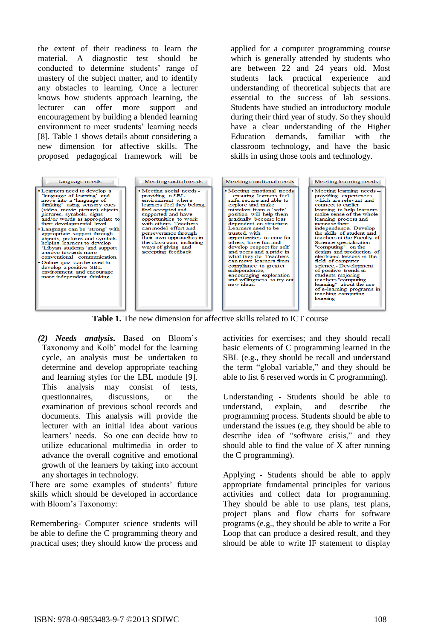the extent of their readiness to learn the material. A diagnostic test should be conducted to determine students' range of mastery of the subject matter, and to identify any obstacles to learning. Once a lecturer knows how students approach learning, the lecturer can offer more support and encouragement by building a blended learning environment to meet students' learning needs [8]. Table 1 shows details about considering a new dimension for affective skills. The proposed pedagogical framework will be

applied for a computer programming course which is generally attended by students who are between 22 and 24 years old. Most students lack practical experience and understanding of theoretical subjects that are essential to the success of lab sessions. Students have studied an introductory module during their third year of study. So they should have a clear understanding of the Higher Education demands, familiar with the classroom technology, and have the basic skills in using those tools and technology.

| Language needs                                                                                                                                                                                                                                                                                                                                                                                                                                                                                                                                                                                    | Meeting soctial needs                                                                                                                                                                                                                                                                                                                           | Meeting emotional needs                                                                                                                                                                                                                                                                                                                                                                                                                                                                                                                | Meeting learning needs                                                                                                                                                                                                                                                                                                                                                                                                                                                                                                                                                                                         |
|---------------------------------------------------------------------------------------------------------------------------------------------------------------------------------------------------------------------------------------------------------------------------------------------------------------------------------------------------------------------------------------------------------------------------------------------------------------------------------------------------------------------------------------------------------------------------------------------------|-------------------------------------------------------------------------------------------------------------------------------------------------------------------------------------------------------------------------------------------------------------------------------------------------------------------------------------------------|----------------------------------------------------------------------------------------------------------------------------------------------------------------------------------------------------------------------------------------------------------------------------------------------------------------------------------------------------------------------------------------------------------------------------------------------------------------------------------------------------------------------------------------|----------------------------------------------------------------------------------------------------------------------------------------------------------------------------------------------------------------------------------------------------------------------------------------------------------------------------------------------------------------------------------------------------------------------------------------------------------------------------------------------------------------------------------------------------------------------------------------------------------------|
| • Learners need to develop a<br>'language of learning' and<br>move into a 'language of<br>thinking' using sensory cues<br>(video, movie picture) objects,<br>pictures, symbols, signs<br>and/or words as appropriate to<br>their developmental level<br>• Language can be 'strong' with<br>appropriate support through<br>objects, pictures and symbols<br>helping learners to develop<br>'Libyan students 'and support<br>a move towards more<br>conventional communication.<br>• Online quiz can be used to<br>develop a positive SBL<br>environment and encourage<br>more independent thinking | • Meeting social needs -<br>providing a SBL<br>environment where.<br>learners feel they belong.<br>feel accepted and<br>supported and have<br>opportunities to work<br>with others. Teachers<br>can model effort and<br>perseverance through<br>their own approaches in<br>the classroom, including<br>ways of giving and<br>accepting feedback | • Meeting emotional needs<br>- ensuring learners feel<br>safe, secure and able to<br>explore and make<br>mistakes from a 'safe'<br>position will help them<br>gradually become less<br>dependent on structure.<br>Learners need to be<br>trusted with<br>opportunities to care for<br>others, have fun and<br>develop respect for self<br>and peers and a pride in<br>what they do. Teachers<br>can move learners from<br>compliance to greater<br>independence.<br>encouraging exploration<br>and willingness to try out<br>new ideas | • Meeting learning needs-<br>providing experiences<br>which are relevant and<br>connect to earlier<br>learning to help learners<br>make sense of the whole<br>learning process and<br>increase their<br>independence. Develop<br>the skills of student and<br>teachers at the Faculty of<br>Science specialization<br>"computing" on the<br>design and production of<br>electronic lessons in the<br>field of computer<br>science.- Development<br>of positive trends in<br>students majoring<br>teachers "computing<br>learning" about the use<br>of e-learning programs in<br>teaching computing<br>learning |

**Table 1.** The new dimension for affective skills related to ICT course

*(2) Needs analysis***.** Based on Bloom's Taxonomy and Kolb' model for the learning cycle, an analysis must be undertaken to determine and develop appropriate teaching and learning styles for the LBL module [9]. This analysis may consist of tests, questionnaires, discussions, or the examination of previous school records and documents. This analysis will provide the lecturer with an initial idea about various learners' needs. So one can decide how to utilize educational multimedia in order to advance the overall cognitive and emotional growth of the learners by taking into account any shortages in technology.

There are some examples of students' future skills which should be developed in accordance with Bloom's Taxonomy:

Remembering- Computer science students will be able to define the C programming theory and practical uses; they should know the process and activities for exercises; and they should recall basic elements of C programming learned in the SBL (e.g., they should be recall and understand the term "global variable," and they should be able to list 6 reserved words in C programming).

Understanding - Students should be able to understand, explain, and describe the programming process. Students should be able to understand the issues (e.g. they should be able to describe idea of "software crisis," and they should able to find the value of X after running the C programming).

Applying - Students should be able to apply appropriate fundamental principles for various activities and collect data for programming. They should be able to use plans, test plans, project plans and flow charts for software programs (e.g., they should be able to write a For Loop that can produce a desired result, and they should be able to write IF statement to display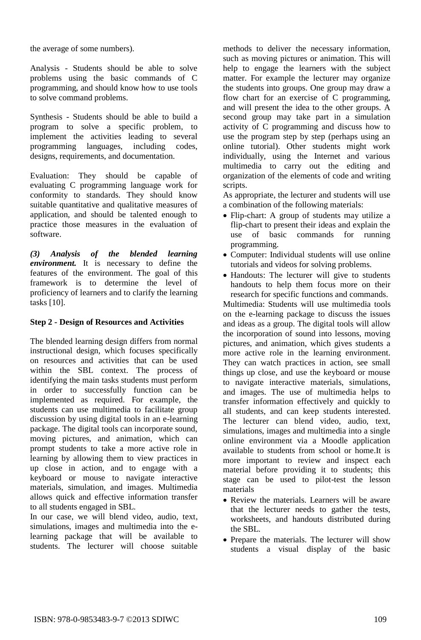the average of some numbers).

Analysis - Students should be able to solve problems using the basic commands of C programming, and should know how to use tools to solve command problems.

Synthesis - Students should be able to build a program to solve a specific problem, to implement the activities leading to several programming languages, including codes, designs, requirements, and documentation.

Evaluation: They should be capable of evaluating C programming language work for conformity to standards. They should know suitable quantitative and qualitative measures of application, and should be talented enough to practice those measures in the evaluation of software.

*(3) Analysis of the blended learning environment.* It is necessary to define the features of the environment. The goal of this framework is to determine the level of proficiency of learners and to clarify the learning tasks [10].

### **Step 2 - Design of Resources and Activities**

The blended learning design differs from normal instructional design, which focuses specifically on resources and activities that can be used within the SBL context. The process of identifying the main tasks students must perform in order to successfully function can be implemented as required. For example, the students can use multimedia to facilitate group discussion by using digital tools in an e-learning package. The digital tools can incorporate sound, moving pictures, and animation, which can prompt students to take a more active role in learning by allowing them to view practices in up close in action, and to engage with a keyboard or mouse to navigate interactive materials, simulation, and images. Multimedia allows quick and effective information transfer to all students engaged in SBL.

In our case, we will blend video, audio, text, simulations, images and multimedia into the elearning package that will be available to students. The lecturer will choose suitable methods to deliver the necessary information, such as moving pictures or animation. This will help to engage the learners with the subject matter. For example the lecturer may organize the students into groups. One group may draw a flow chart for an exercise of C programming, and will present the idea to the other groups. A second group may take part in a simulation activity of C programming and discuss how to use the program step by step (perhaps using an online tutorial). Other students might work individually, using the Internet and various multimedia to carry out the editing and organization of the elements of code and writing scripts.

As appropriate, the lecturer and students will use a combination of the following materials:

- Flip-chart: A group of students may utilize a flip-chart to present their ideas and explain the use of basic commands for running programming.
- Computer: Individual students will use online tutorials and videos for solving problems.
- Handouts: The lecturer will give to students handouts to help them focus more on their research for specific functions and commands.

Multimedia: Students will use multimedia tools on the e-learning package to discuss the issues and ideas as a group. The digital tools will allow the incorporation of sound into lessons, moving pictures, and animation, which gives students a more active role in the learning environment. They can watch practices in action, see small things up close, and use the keyboard or mouse to navigate interactive materials, simulations, and images. The use of multimedia helps to transfer information effectively and quickly to all students, and can keep students interested. The lecturer can blend video, audio, text, simulations, images and multimedia into a single online environment via a Moodle application available to students from school or home.It is more important to review and inspect each material before providing it to students; this stage can be used to pilot-test the lesson materials

- Review the materials. Learners will be aware that the lecturer needs to gather the tests, worksheets, and handouts distributed during the SBL.
- Prepare the materials. The lecturer will show students a visual display of the basic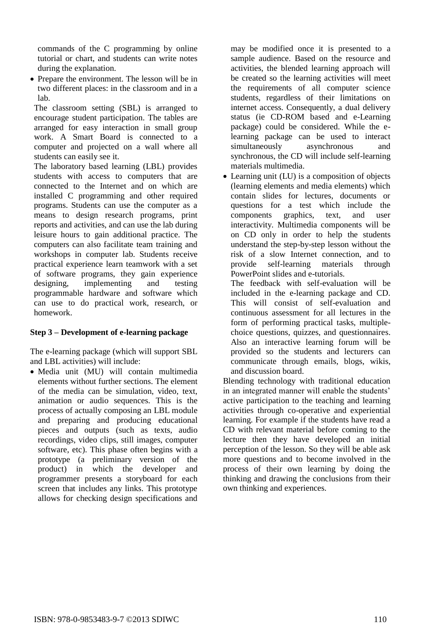commands of the C programming by online tutorial or chart, and students can write notes during the explanation.

• Prepare the environment. The lesson will be in two different places: in the classroom and in a lab.

The classroom setting (SBL) is arranged to encourage student participation. The tables are arranged for easy interaction in small group work. A Smart Board is connected to a computer and projected on a wall where all students can easily see it.

The laboratory based learning (LBL) provides students with access to computers that are connected to the Internet and on which are installed C programming and other required programs. Students can use the computer as a means to design research programs, print reports and activities, and can use the lab during leisure hours to gain additional practice. The computers can also facilitate team training and workshops in computer lab. Students receive practical experience learn teamwork with a set of software programs, they gain experience designing, implementing and testing programmable hardware and software which can use to do practical work, research, or homework.

### **Step 3 – Development of e-learning package**

The e-learning package (which will support SBL and LBL activities) will include:

 Media unit (MU) will contain multimedia elements without further sections. The element of the media can be simulation, video, text, animation or audio sequences. This is the process of actually composing an LBL module and preparing and producing educational pieces and outputs (such as texts, audio recordings, video clips, still images, computer software, etc). This phase often begins with a prototype (a preliminary version of the product) in which the developer and programmer presents a storyboard for each screen that includes any links. This prototype allows for checking design specifications and

may be modified once it is presented to a sample audience. Based on the resource and activities, the blended learning approach will be created so the learning activities will meet the requirements of all computer science students, regardless of their limitations on internet access. Consequently, a dual delivery status (ie CD-ROM based and e-Learning package) could be considered. While the elearning package can be used to interact simultaneously asynchronous and synchronous, the CD will include self-learning materials multimedia.

 Learning unit (LU) is a composition of objects (learning elements and media elements) which contain slides for lectures, documents or questions for a test which include the components graphics, text, and user interactivity. Multimedia components will be on CD only in order to help the students understand the step-by-step lesson without the risk of a slow Internet connection, and to provide self-learning materials through PowerPoint slides and e-tutorials.

The feedback with self-evaluation will be included in the e-learning package and CD. This will consist of self-evaluation and continuous assessment for all lectures in the form of performing practical tasks, multiplechoice questions, quizzes, and questionnaires. Also an interactive learning forum will be provided so the students and lecturers can communicate through emails, blogs, wikis, and discussion board.

Blending technology with traditional education in an integrated manner will enable the students' active participation to the teaching and learning activities through co-operative and experiential learning. For example if the students have read a CD with relevant material before coming to the lecture then they have developed an initial perception of the lesson. So they will be able ask more questions and to become involved in the process of their own learning by doing the thinking and drawing the conclusions from their own thinking and experiences.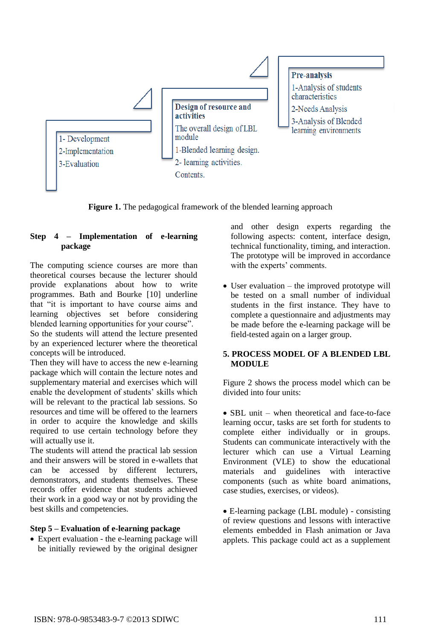

**Figure 1.** The pedagogical framework of the blended learning approach

# **Step 4 – Implementation of e-learning package**

The computing science courses are more than theoretical courses because the lecturer should provide explanations about how to write programmes. Bath and Bourke [10] underline that "it is important to have course aims and learning objectives set before considering blended learning opportunities for your course".

So the students will attend the lecture presented by an experienced lecturer where the theoretical concepts will be introduced.

Then they will have to access the new e-learning package which will contain the lecture notes and supplementary material and exercises which will enable the development of students' skills which will be relevant to the practical lab sessions. So resources and time will be offered to the learners in order to acquire the knowledge and skills required to use certain technology before they will actually use it.

The students will attend the practical lab session and their answers will be stored in e-wallets that can be accessed by different lecturers, demonstrators, and students themselves. These records offer evidence that students achieved their work in a good way or not by providing the best skills and competencies.

### **Step 5 – Evaluation of e-learning package**

 Expert evaluation - the e-learning package will be initially reviewed by the original designer and other design experts regarding the following aspects: content, interface design, technical functionality, timing, and interaction. The prototype will be improved in accordance with the experts' comments.

• User evaluation – the improved prototype will be tested on a small number of individual students in the first instance. They have to complete a questionnaire and adjustments may be made before the e-learning package will be field-tested again on a larger group.

### **5. PROCESS MODEL OF A BLENDED LBL MODULE**

Figure 2 shows the process model which can be divided into four units:

• SBL unit – when theoretical and face-to-face learning occur, tasks are set forth for students to complete either individually or in groups. Students can communicate interactively with the lecturer which can use a Virtual Learning Environment (VLE) to show the educational materials and guidelines with interactive components (such as white board animations, case studies, exercises, or videos).

 E-learning package (LBL module) - consisting of review questions and lessons with interactive elements embedded in Flash animation or Java applets. This package could act as a supplement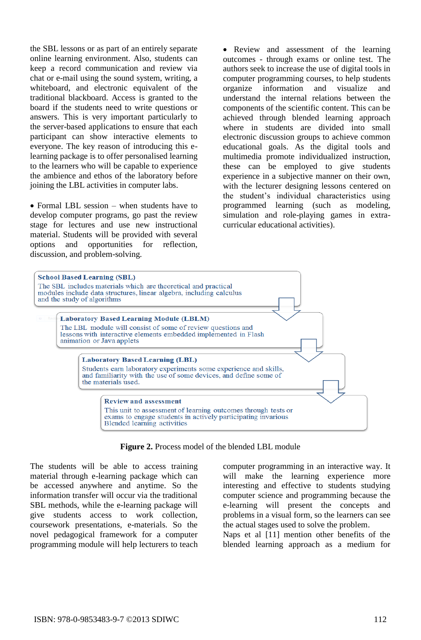the SBL lessons or as part of an entirely separate online learning environment. Also, students can keep a record communication and review via chat or e-mail using the sound system, writing, a whiteboard, and electronic equivalent of the traditional blackboard. Access is granted to the board if the students need to write questions or answers. This is very important particularly to the server-based applications to ensure that each participant can show interactive elements to everyone. The key reason of introducing this elearning package is to offer personalised learning to the learners who will be capable to experience the ambience and ethos of the laboratory before joining the LBL activities in computer labs.

• Formal LBL session – when students have to develop computer programs, go past the review stage for lectures and use new instructional material. Students will be provided with several options and opportunities for reflection, discussion, and problem-solving.

• Review and assessment of the learning outcomes - through exams or online test. The authors seek to increase the use of digital tools in computer programming courses, to help students organize information and visualize and understand the internal relations between the components of the scientific content. This can be achieved through blended learning approach where in students are divided into small electronic discussion groups to achieve common educational goals. As the digital tools and multimedia promote individualized instruction, these can be employed to give students experience in a subjective manner on their own, with the lecturer designing lessons centered on the student's individual characteristics using programmed learning (such as modeling, simulation and role-playing games in extracurricular educational activities).



**Figure 2.** Process model of the blended LBL module

The students will be able to access training material through e-learning package which can be accessed anywhere and anytime. So the information transfer will occur via the traditional SBL methods, while the e-learning package will give students access to work collection, coursework presentations, e-materials. So the novel pedagogical framework for a computer programming module will help lecturers to teach computer programming in an interactive way. It will make the learning experience more interesting and effective to students studying computer science and programming because the e-learning will present the concepts and problems in a visual form, so the learners can see the actual stages used to solve the problem.

Naps et al [11] mention other benefits of the blended learning approach as a medium for